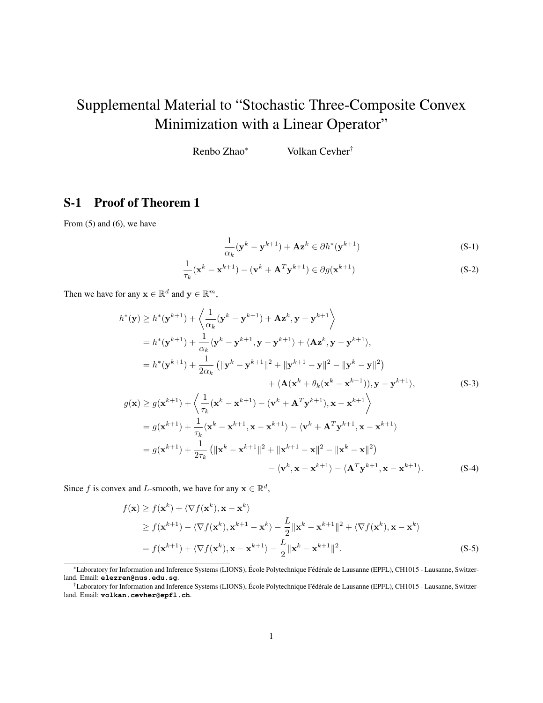# <span id="page-0-3"></span>Supplemental Material to "Stochastic Three-Composite Convex Minimization with a Linear Operator"

Renbo Zhao\* Volkan Cevher†

## S-1 Proof of Theorem 1

From  $(5)$  and  $(6)$ , we have

<span id="page-0-4"></span><span id="page-0-1"></span><span id="page-0-0"></span>
$$
\frac{1}{\alpha_k} (\mathbf{y}^k - \mathbf{y}^{k+1}) + \mathbf{A}\mathbf{z}^k \in \partial h^*(\mathbf{y}^{k+1})
$$
 (S-1)

$$
\frac{1}{\tau_k}(\mathbf{x}^k - \mathbf{x}^{k+1}) - (\mathbf{v}^k + \mathbf{A}^T \mathbf{y}^{k+1}) \in \partial g(\mathbf{x}^{k+1})
$$
\n(S-2)

Then we have for any  $\mathbf{x} \in \mathbb{R}^d$  and  $\mathbf{y} \in \mathbb{R}^m$ ,

$$
h^*(\mathbf{y}) \ge h^*(\mathbf{y}^{k+1}) + \left\langle \frac{1}{\alpha_k} (\mathbf{y}^k - \mathbf{y}^{k+1}) + \mathbf{A} \mathbf{z}^k, \mathbf{y} - \mathbf{y}^{k+1} \right\rangle
$$
  
\n
$$
= h^*(\mathbf{y}^{k+1}) + \frac{1}{\alpha_k} \langle \mathbf{y}^k - \mathbf{y}^{k+1}, \mathbf{y} - \mathbf{y}^{k+1} \rangle + \langle \mathbf{A} \mathbf{z}^k, \mathbf{y} - \mathbf{y}^{k+1} \rangle,
$$
  
\n
$$
= h^*(\mathbf{y}^{k+1}) + \frac{1}{2\alpha_k} (\|\mathbf{y}^k - \mathbf{y}^{k+1}\|^2 + \|\mathbf{y}^{k+1} - \mathbf{y}\|^2 - \|\mathbf{y}^k - \mathbf{y}\|^2)
$$
  
\n
$$
+ \langle \mathbf{A} (\mathbf{x}^k + \theta_k (\mathbf{x}^k - \mathbf{x}^{k-1})), \mathbf{y} - \mathbf{y}^{k+1} \rangle,
$$
  
\n
$$
g(\mathbf{x}) \ge g(\mathbf{x}^{k+1}) + \left\langle \frac{1}{\tau_k} (\mathbf{x}^k - \mathbf{x}^{k+1}) - (\mathbf{v}^k + \mathbf{A}^T \mathbf{y}^{k+1}), \mathbf{x} - \mathbf{x}^{k+1} \right\rangle
$$
  
\n
$$
= g(\mathbf{x}^{k+1}) + \frac{1}{\tau_k} \langle \mathbf{x}^k - \mathbf{x}^{k+1}, \mathbf{x} - \mathbf{x}^{k+1} \rangle - \langle \mathbf{v}^k + \mathbf{A}^T \mathbf{y}^{k+1}, \mathbf{x} - \mathbf{x}^{k+1} \rangle
$$
  
\n
$$
= g(\mathbf{x}^{k+1}) + \frac{1}{2\tau_k} (\|\mathbf{x}^k - \mathbf{x}^{k+1}\|^2 + \|\mathbf{x}^{k+1} - \mathbf{x}\|^2 - \|\mathbf{x}^k - \mathbf{x}\|^2)
$$
  
\n
$$
- \langle \mathbf{v}^k, \mathbf{x} - \mathbf{x}^{k+1} \rangle - \langle \
$$

Since f is convex and L-smooth, we have for any  $\mathbf{x} \in \mathbb{R}^d$ ,

<span id="page-0-2"></span>
$$
f(\mathbf{x}) \ge f(\mathbf{x}^{k}) + \langle \nabla f(\mathbf{x}^{k}), \mathbf{x} - \mathbf{x}^{k} \rangle
$$
  
\n
$$
\ge f(\mathbf{x}^{k+1}) - \langle \nabla f(\mathbf{x}^{k}), \mathbf{x}^{k+1} - \mathbf{x}^{k} \rangle - \frac{L}{2} ||\mathbf{x}^{k} - \mathbf{x}^{k+1}||^{2} + \langle \nabla f(\mathbf{x}^{k}), \mathbf{x} - \mathbf{x}^{k} \rangle
$$
  
\n
$$
= f(\mathbf{x}^{k+1}) + \langle \nabla f(\mathbf{x}^{k}), \mathbf{x} - \mathbf{x}^{k+1} \rangle - \frac{L}{2} ||\mathbf{x}^{k} - \mathbf{x}^{k+1}||^{2}.
$$
 (S-5)

<sup>\*</sup>Laboratory for Information and Inference Systems (LIONS), École Polytechnique Fédérale de Lausanne (EPFL), CH1015 - Lausanne, Switzerland. Email: **elezren@nus.edu.sg**.

<sup>&</sup>lt;sup>†</sup>Laboratory for Information and Inference Systems (LIONS), École Polytechnique Fédérale de Lausanne (EPFL), CH1015 - Lausanne, Switzerland. Email: **volkan.cevher@epfl.ch**.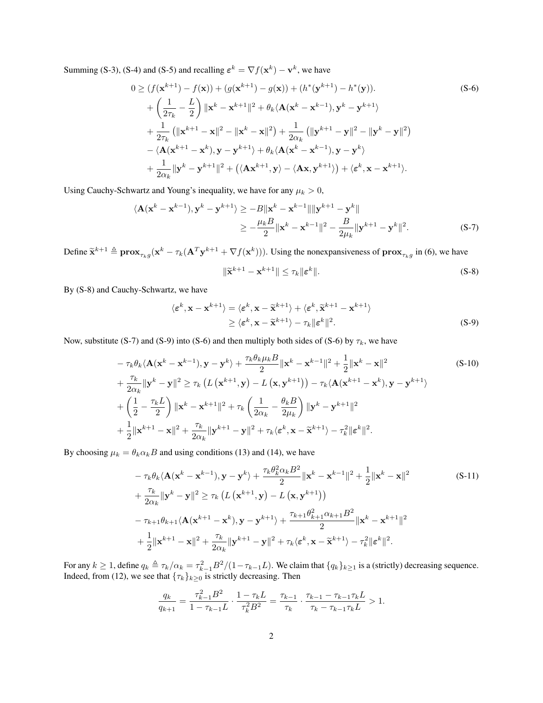Summing [\(S-3\)](#page-0-0), [\(S-4\)](#page-0-1) and [\(S-5\)](#page-0-2) and recalling  $\varepsilon^{k} = \nabla f(\mathbf{x}^{k}) - \mathbf{v}^{k}$ , we have

$$
0 \ge (f(\mathbf{x}^{k+1}) - f(\mathbf{x})) + (g(\mathbf{x}^{k+1}) - g(\mathbf{x})) + (h^*(\mathbf{y}^{k+1}) - h^*(\mathbf{y})).
$$
\n
$$
+ \left(\frac{1}{2\tau_k} - \frac{L}{2}\right) \|\mathbf{x}^k - \mathbf{x}^{k+1}\|^2 + \theta_k \langle \mathbf{A}(\mathbf{x}^k - \mathbf{x}^{k-1}), \mathbf{y}^k - \mathbf{y}^{k+1} \rangle
$$
\n
$$
+ \frac{1}{2\tau_k} \left( \|\mathbf{x}^{k+1} - \mathbf{x}\|^2 - \|\mathbf{x}^k - \mathbf{x}\|^2 \right) + \frac{1}{2\alpha_k} \left( \|\mathbf{y}^{k+1} - \mathbf{y}\|^2 - \|\mathbf{y}^k - \mathbf{y}\|^2 \right)
$$
\n
$$
- \langle \mathbf{A}(\mathbf{x}^{k+1} - \mathbf{x}^k), \mathbf{y} - \mathbf{y}^{k+1} \rangle + \theta_k \langle \mathbf{A}(\mathbf{x}^k - \mathbf{x}^{k-1}), \mathbf{y} - \mathbf{y}^k \rangle
$$
\n
$$
+ \frac{1}{2\alpha_k} \|\mathbf{y}^k - \mathbf{y}^{k+1}\|^2 + \left( \langle \mathbf{A} \mathbf{x}^{k+1}, \mathbf{y} \rangle - \langle \mathbf{A} \mathbf{x}, \mathbf{y}^{k+1} \rangle \right) + \langle \boldsymbol{\varepsilon}^k, \mathbf{x} - \mathbf{x}^{k+1} \rangle.
$$
\n(S-6)

Using Cauchy-Schwartz and Young's inequality, we have for any  $\mu_k > 0$ ,

$$
\langle \mathbf{A}(\mathbf{x}^{k} - \mathbf{x}^{k-1}), \mathbf{y}^{k} - \mathbf{y}^{k+1} \rangle \ge -B \|\mathbf{x}^{k} - \mathbf{x}^{k-1}\| \|\mathbf{y}^{k+1} - \mathbf{y}^{k}\|
$$
  
\n
$$
\ge -\frac{\mu_{k}B}{2} \|\mathbf{x}^{k} - \mathbf{x}^{k-1}\|^{2} - \frac{B}{2\mu_{k}} \|\mathbf{y}^{k+1} - \mathbf{y}^{k}\|^{2}.
$$
 (S-7)

Define  $\tilde{\mathbf{x}}^{k+1} \triangleq \mathbf{prox}_{\tau_k g}(\mathbf{x}^k - \tau_k(\mathbf{A}^T \mathbf{y}^{k+1} + \nabla f(\mathbf{x}^k)))$ . Using the nonexpansiveness of  $\mathbf{prox}_{\tau_k g}$  in [\(6\)](#page-0-3), we have

<span id="page-1-4"></span><span id="page-1-3"></span><span id="page-1-2"></span><span id="page-1-1"></span><span id="page-1-0"></span>
$$
\|\widetilde{\mathbf{x}}^{k+1} - \mathbf{x}^{k+1}\| \le \tau_k \|\boldsymbol{\varepsilon}^k\|.\tag{S-8}
$$

By [\(S-8\)](#page-1-0) and Cauchy-Schwartz, we have

$$
\langle \varepsilon^{k}, \mathbf{x} - \mathbf{x}^{k+1} \rangle = \langle \varepsilon^{k}, \mathbf{x} - \widetilde{\mathbf{x}}^{k+1} \rangle + \langle \varepsilon^{k}, \widetilde{\mathbf{x}}^{k+1} - \mathbf{x}^{k+1} \rangle
$$
  
\n
$$
\geq \langle \varepsilon^{k}, \mathbf{x} - \widetilde{\mathbf{x}}^{k+1} \rangle - \tau_{k} ||\varepsilon^{k}||^{2}.
$$
 (S-9)

Now, substitute [\(S-7\)](#page-1-1) and [\(S-9\)](#page-1-2) into [\(S-6\)](#page-1-3) and then multiply both sides of (S-6) by  $\tau_k$ , we have

$$
-\tau_{k}\theta_{k}\langle \mathbf{A}(\mathbf{x}^{k}-\mathbf{x}^{k-1}), \mathbf{y}-\mathbf{y}^{k}\rangle + \frac{\tau_{k}\theta_{k}\mu_{k}B}{2}||\mathbf{x}^{k}-\mathbf{x}^{k-1}||^{2} + \frac{1}{2}||\mathbf{x}^{k}-\mathbf{x}||^{2} + \frac{\tau_{k}}{2\alpha_{k}}||\mathbf{y}^{k}-\mathbf{y}||^{2} \geq \tau_{k}\left(L\left(\mathbf{x}^{k+1},\mathbf{y}\right)-L\left(\mathbf{x},\mathbf{y}^{k+1}\right)\right)-\tau_{k}\langle \mathbf{A}(\mathbf{x}^{k+1}-\mathbf{x}^{k}),\mathbf{y}-\mathbf{y}^{k+1}\rangle + \left(\frac{1}{2}-\frac{\tau_{k}L}{2}\right)||\mathbf{x}^{k}-\mathbf{x}^{k+1}||^{2} + \tau_{k}\left(\frac{1}{2\alpha_{k}}-\frac{\theta_{k}B}{2\mu_{k}}\right)||\mathbf{y}^{k}-\mathbf{y}^{k+1}||^{2} + \frac{1}{2}||\mathbf{x}^{k+1}-\mathbf{x}||^{2} + \frac{\tau_{k}}{2\alpha_{k}}||\mathbf{y}^{k+1}-\mathbf{y}||^{2} + \tau_{k}\langle \boldsymbol{\varepsilon}^{k}, \mathbf{x}-\widetilde{\mathbf{x}}^{k+1}\rangle - \tau_{k}^{2}||\boldsymbol{\varepsilon}^{k}||^{2}.
$$
 (S-10)

By choosing  $\mu_k = \theta_k \alpha_k B$  and using conditions [\(13\)](#page-0-3) and [\(14\)](#page-0-3), we have

$$
-\tau_{k}\theta_{k}\langle \mathbf{A}(\mathbf{x}^{k}-\mathbf{x}^{k-1}), \mathbf{y}-\mathbf{y}^{k}\rangle + \frac{\tau_{k}\theta_{k}^{2}\alpha_{k}B^{2}}{2} \|\mathbf{x}^{k}-\mathbf{x}^{k-1}\|^{2} + \frac{1}{2}\|\mathbf{x}^{k}-\mathbf{x}\|^{2} + \frac{\tau_{k}}{2\alpha_{k}}\|\mathbf{y}^{k}-\mathbf{y}\|^{2} \geq \tau_{k}\left(L\left(\mathbf{x}^{k+1}, \mathbf{y}\right)-L\left(\mathbf{x}, \mathbf{y}^{k+1}\right)\right) + \frac{\tau_{k}}{2\alpha_{k}}\|\mathbf{x}^{k}-\mathbf{y}\|^{2} \geq \tau_{k}\left(L\left(\mathbf{x}^{k+1}, \mathbf{y}\right)-L\left(\mathbf{x}, \mathbf{y}^{k+1}\right)\right) + \frac{\tau_{k+1}\theta_{k+1}^{2}\alpha_{k+1}B^{2}}{2} \|\mathbf{x}^{k}-\mathbf{x}^{k+1}\|^{2} + \frac{1}{2}\|\mathbf{x}^{k+1}-\mathbf{x}\|^{2} + \frac{\tau_{k}}{2\alpha_{k}}\|\mathbf{y}^{k+1}-\mathbf{y}\|^{2} + \tau_{k}\langle \boldsymbol{\varepsilon}^{k}, \mathbf{x}-\widetilde{\mathbf{x}}^{k+1}\rangle - \tau_{k}^{2}\|\boldsymbol{\varepsilon}^{k}\|^{2}.
$$
\n(S-11)

For any  $k \ge 1$ , define  $q_k \triangleq \tau_k/\alpha_k = \tau_{k-1}^2 B^2/(1-\tau_{k-1}L)$ . We claim that  $\{q_k\}_{k \ge 1}$  is a (strictly) decreasing sequence. Indeed, from [\(12\)](#page-0-3), we see that  ${\lbrace \tau_k \rbrace_{k \geq 0}}$  is strictly decreasing. Then

$$
\frac{q_k}{q_{k+1}} = \frac{\tau_{k-1}^2 B^2}{1 - \tau_{k-1} L} \cdot \frac{1 - \tau_k L}{\tau_k^2 B^2} = \frac{\tau_{k-1}}{\tau_k} \cdot \frac{\tau_{k-1} - \tau_{k-1} \tau_k L}{\tau_k - \tau_{k-1} \tau_k L} > 1.
$$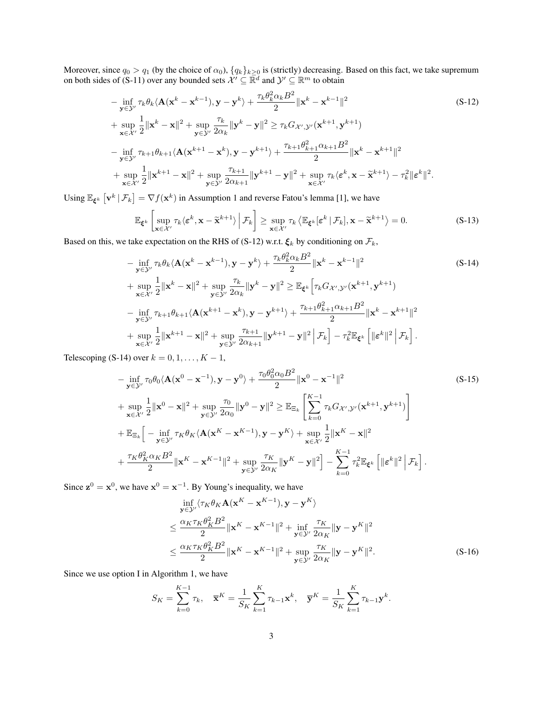Moreover, since  $q_0 > q_1$  (by the choice of  $\alpha_0$ ),  $\{q_k\}_{k\geq 0}$  is (strictly) decreasing. Based on this fact, we take supremum on both sides of [\(S-11\)](#page-1-4) over any bounded sets  $\mathcal{X}' \subseteq \mathbb{R}^d$  and  $\mathcal{Y}' \subseteq \mathbb{R}^m$  to obtain

$$
-\inf_{\mathbf{y}\in\mathcal{Y}'}\tau_{k}\theta_{k}\langle \mathbf{A}(\mathbf{x}^{k}-\mathbf{x}^{k-1}), \mathbf{y}-\mathbf{y}^{k}\rangle + \frac{\tau_{k}\theta_{k}^{2}\alpha_{k}B^{2}}{2} \|\mathbf{x}^{k}-\mathbf{x}^{k-1}\|^{2}
$$
\n
$$
+\sup_{\mathbf{x}\in\mathcal{X}'}\frac{1}{2}\|\mathbf{x}^{k}-\mathbf{x}\|^{2}+\sup_{\mathbf{y}\in\mathcal{Y}'}\frac{\tau_{k}}{2\alpha_{k}}\|\mathbf{y}^{k}-\mathbf{y}\|^{2} \geq \tau_{k}G_{\mathcal{X}',\mathcal{Y}'}(\mathbf{x}^{k+1},\mathbf{y}^{k+1})
$$
\n
$$
-\inf_{\mathbf{y}\in\mathcal{Y}'}\tau_{k+1}\theta_{k+1}\langle \mathbf{A}(\mathbf{x}^{k+1}-\mathbf{x}^{k}), \mathbf{y}-\mathbf{y}^{k+1}\rangle + \frac{\tau_{k+1}\theta_{k+1}^{2}\alpha_{k+1}B^{2}}{2} \|\mathbf{x}^{k}-\mathbf{x}^{k+1}\|^{2}
$$
\n
$$
+\sup_{\mathbf{x}\in\mathcal{X}'}\frac{1}{2}\|\mathbf{x}^{k+1}-\mathbf{x}\|^{2}+\sup_{\mathbf{y}\in\mathcal{Y}'}\frac{\tau_{k+1}}{2\alpha_{k+1}}\|\mathbf{y}^{k+1}-\mathbf{y}\|^{2}+\sup_{\mathbf{x}\in\mathcal{X}'}\tau_{k}\langle \mathbf{\varepsilon}^{k}, \mathbf{x}-\widetilde{\mathbf{x}}^{k+1}\rangle - \tau_{k}^{2}\|\mathbf{\varepsilon}^{k}\|^{2}.
$$
\n(S-12)

Using  $\mathbb{E}_{\xi^k} \left[ \mathbf{v}^k \, | \, \mathcal{F}_k \right] = \nabla f(\mathbf{x}^k)$  in Assumption [1](#page-0-3) and reverse Fatou's lemma [\[1\]](#page-8-0), we have

<span id="page-2-3"></span><span id="page-2-1"></span><span id="page-2-0"></span>
$$
\mathbb{E}_{\xi^k} \left[ \sup_{\mathbf{x} \in \mathcal{X}'} \tau_k \langle \varepsilon^k, \mathbf{x} - \widetilde{\mathbf{x}}^{k+1} \rangle \middle| \mathcal{F}_k \right] \ge \sup_{\mathbf{x} \in \mathcal{X}'} \tau_k \langle \mathbb{E}_{\xi^k}[\varepsilon^k | \mathcal{F}_k], \mathbf{x} - \widetilde{\mathbf{x}}^{k+1} \rangle = 0.
$$
 (S-13)

Based on this, we take expectation on the RHS of [\(S-12\)](#page-2-0) w.r.t.  $\xi_k$  by conditioning on  $\mathcal{F}_k$ ,

$$
-\inf_{\mathbf{y}\in\mathcal{Y}'}\tau_{k}\theta_{k}\langle\mathbf{A}(\mathbf{x}^{k}-\mathbf{x}^{k-1}),\mathbf{y}-\mathbf{y}^{k}\rangle+\frac{\tau_{k}\theta_{k}^{2}\alpha_{k}B^{2}}{2}\|\mathbf{x}^{k}-\mathbf{x}^{k-1}\|^{2}
$$
(S-14)  
+ 
$$
\sup_{\mathbf{x}\in\mathcal{X}'}\frac{1}{2}\|\mathbf{x}^{k}-\mathbf{x}\|^{2}+\sup_{\mathbf{y}\in\mathcal{Y}'}\frac{\tau_{k}}{2\alpha_{k}}\|\mathbf{y}^{k}-\mathbf{y}\|^{2}\geq \mathbb{E}_{\xi^{k}}\Big[\tau_{k}G_{\mathcal{X}',\mathcal{Y}'}(\mathbf{x}^{k+1},\mathbf{y}^{k+1})
$$

$$
-\inf_{\mathbf{y}\in\mathcal{Y}'}\tau_{k+1}\theta_{k+1}\langle\mathbf{A}(\mathbf{x}^{k+1}-\mathbf{x}^{k}),\mathbf{y}-\mathbf{y}^{k+1}\rangle+\frac{\tau_{k+1}\theta_{k+1}^{2}\alpha_{k+1}B^{2}}{2}\|\mathbf{x}^{k}-\mathbf{x}^{k+1}\|^{2}
$$
+ 
$$
\sup_{\mathbf{x}\in\mathcal{X}'}\frac{1}{2}\|\mathbf{x}^{k+1}-\mathbf{x}\|^{2}+\sup_{\mathbf{y}\in\mathcal{Y}'}\frac{\tau_{k+1}}{2\alpha_{k+1}}\|\mathbf{y}^{k+1}-\mathbf{y}\|^{2}\Big|\mathcal{F}_{k}\Big]-\tau_{k}^{2}\mathbb{E}_{\xi^{k}}\Big[\|\boldsymbol{\varepsilon}^{k}\|^{2}\Big|\mathcal{F}_{k}\Big].
$$

Telescoping [\(S-14\)](#page-2-1) over  $k = 0, 1, \ldots, K - 1$ ,

$$
-\inf_{\mathbf{y}\in\mathcal{Y}'}\tau_0\theta_0\langle \mathbf{A}(\mathbf{x}^0-\mathbf{x}^{-1}), \mathbf{y}-\mathbf{y}^0\rangle + \frac{\tau_0\theta_0^2\alpha_0B^2}{2}\|\mathbf{x}^0-\mathbf{x}^{-1}\|^2
$$
\n
$$
+\sup_{\mathbf{x}\in\mathcal{X}'}\frac{1}{2}\|\mathbf{x}^0-\mathbf{x}\|^2 + \sup_{\mathbf{y}\in\mathcal{Y}'}\frac{\tau_0}{2\alpha_0}\|\mathbf{y}^0-\mathbf{y}\|^2 \geq \mathbb{E}_{\Xi_k}\left[\sum_{k=0}^{K-1}\tau_kG_{\mathcal{X}',\mathcal{Y}'}(\mathbf{x}^{k+1},\mathbf{y}^{k+1})\right]
$$
\n
$$
+\mathbb{E}_{\Xi_k}\left[-\inf_{\mathbf{y}\in\mathcal{Y}'}\tau_K\theta_K\langle \mathbf{A}(\mathbf{x}^K-\mathbf{x}^{K-1}), \mathbf{y}-\mathbf{y}^K\rangle + \sup_{\mathbf{x}\in\mathcal{X}'}\frac{1}{2}\|\mathbf{x}^K-\mathbf{x}\|^2
$$
\n
$$
+\frac{\tau_K\theta_K^2\alpha_KB^2}{2}\|\mathbf{x}^K-\mathbf{x}^{K-1}\|^2 + \sup_{\mathbf{y}\in\mathcal{Y}'}\frac{\tau_K}{2\alpha_K}\|\mathbf{y}^K-\mathbf{y}\|^2\right]-\sum_{k=0}^{K-1}\tau_k^2\mathbb{E}_{\xi^k}\left[\|\boldsymbol{\varepsilon}^k\|^2\Big|\mathcal{F}_k\right].
$$
\n(S-15)

Since  $z^0 = x^0$ , we have  $x^0 = x^{-1}$ . By Young's inequality, we have

<span id="page-2-2"></span>
$$
\inf_{\mathbf{y}\in\mathcal{Y}'}\langle\tau_K\theta_K\mathbf{A}(\mathbf{x}^K-\mathbf{x}^{K-1}),\mathbf{y}-\mathbf{y}^K\rangle
$$
\n
$$
\leq \frac{\alpha_K\tau_K\theta_K^2B^2}{2} \|\mathbf{x}^K-\mathbf{x}^{K-1}\|^2 + \inf_{\mathbf{y}\in\mathcal{Y}'}\frac{\tau_K}{2\alpha_K} \|\mathbf{y}-\mathbf{y}^K\|^2
$$
\n
$$
\leq \frac{\alpha_K\tau_K\theta_K^2B^2}{2} \|\mathbf{x}^K-\mathbf{x}^{K-1}\|^2 + \sup_{\mathbf{y}\in\mathcal{Y}'}\frac{\tau_K}{2\alpha_K} \|\mathbf{y}-\mathbf{y}^K\|^2. \tag{S-16}
$$

Since we use option I in Algorithm [1,](#page-0-3) we have

$$
S_K = \sum_{k=0}^{K-1} \tau_k, \quad \overline{\mathbf{x}}^K = \frac{1}{S_K} \sum_{k=1}^K \tau_{k-1} \mathbf{x}^k, \quad \overline{\mathbf{y}}^K = \frac{1}{S_K} \sum_{k=1}^K \tau_{k-1} \mathbf{y}^k.
$$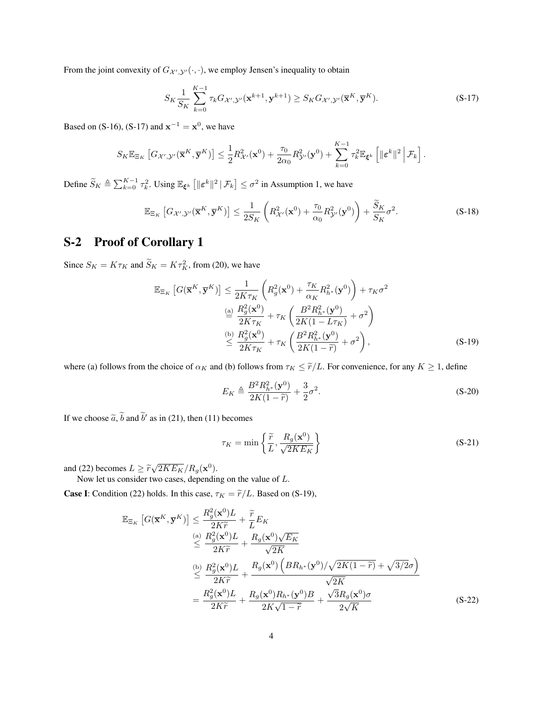From the joint convexity of  $G_{\mathcal{X}',\mathcal{Y}'}(\cdot,\cdot)$ , we employ Jensen's inequality to obtain

<span id="page-3-0"></span>
$$
S_K \frac{1}{S_K} \sum_{k=0}^{K-1} \tau_k G_{\mathcal{X}',\mathcal{Y}'}(\mathbf{x}^{k+1}, \mathbf{y}^{k+1}) \ge S_K G_{\mathcal{X}',\mathcal{Y}'}(\overline{\mathbf{x}}^K, \overline{\mathbf{y}}^K).
$$
 (S-17)

Based on [\(S-16\)](#page-2-2), [\(S-17\)](#page-3-0) and  $\mathbf{x}^{-1} = \mathbf{x}^0$ , we have

$$
S_K \mathbb{E}_{\Xi_K} \left[ G_{\mathcal{X}',\mathcal{Y}'}(\overline{\mathbf{x}}^K, \overline{\mathbf{y}}^K) \right] \leq \frac{1}{2} R_{\mathcal{X}'}^2(\mathbf{x}^0) + \frac{\tau_0}{2\alpha_0} R_{\mathcal{Y}'}^2(\mathbf{y}^0) + \sum_{k=0}^{K-1} \tau_k^2 \mathbb{E}_{\xi^k} \left[ \|\boldsymbol{\varepsilon}^k\|^2 \, \Big| \, \mathcal{F}_k \right].
$$

Define  $\widetilde{S}_K \triangleq \sum_{k=0}^{K-1} \tau_k^2$ . Using  $\mathbb{E}_{\xi^k} [\|\varepsilon^k\|^2 \, | \mathcal{F}_k] \le \sigma^2$  in Assumption [1,](#page-0-3) we have

$$
\mathbb{E}_{\Xi_K} \left[ G_{\mathcal{X}', \mathcal{Y}'}(\overline{\mathbf{x}}^K, \overline{\mathbf{y}}^K) \right] \le \frac{1}{2S_K} \left( R_{\mathcal{X}'}^2(\mathbf{x}^0) + \frac{\tau_0}{\alpha_0} R_{\mathcal{Y}'}^2(\mathbf{y}^0) \right) + \frac{\tilde{S}_K}{S_K} \sigma^2.
$$
 (S-18)

## <span id="page-3-2"></span>S-2 Proof of Corollary [1](#page-0-3)

Since  $S_K = K \tau_K$  and  $\widetilde{S}_K = K \tau_K^2$ , from [\(20\)](#page-0-3), we have

$$
\mathbb{E}_{\Xi_K} \left[ G(\overline{\mathbf{x}}^K, \overline{\mathbf{y}}^K) \right] \leq \frac{1}{2K\tau_K} \left( R_g^2(\mathbf{x}^0) + \frac{\tau_K}{\alpha_K} R_{h^*}^2(\mathbf{y}^0) \right) + \tau_K \sigma^2
$$
\n
$$
\stackrel{\text{(a)}}{=} \frac{R_g^2(\mathbf{x}^0)}{2K\tau_K} + \tau_K \left( \frac{B^2 R_{h^*}^2(\mathbf{y}^0)}{2K(1 - L\tau_K)} + \sigma^2 \right)
$$
\n
$$
\stackrel{\text{(b)}}{\leq} \frac{R_g^2(\mathbf{x}^0)}{2K\tau_K} + \tau_K \left( \frac{B^2 R_{h^*}^2(\mathbf{y}^0)}{2K(1 - \tilde{r})} + \sigma^2 \right), \tag{S-19}
$$

where (a) follows from the choice of  $\alpha_K$  and (b) follows from  $\tau_K \leq \tilde{r}/L$ . For convenience, for any  $K \geq 1$ , define

<span id="page-3-1"></span>
$$
E_K \triangleq \frac{B^2 R_{h^*}^2(\mathbf{y}^0)}{2K(1-\tilde{r})} + \frac{3}{2}\sigma^2.
$$
 (S-20)

If we choose  $\tilde{a}$ ,  $\tilde{b}$  and  $\tilde{b}'$  as in [\(21\)](#page-0-3), then [\(11\)](#page-0-3) becomes

$$
\tau_K = \min\left\{\frac{\tilde{r}}{L}, \frac{R_g(\mathbf{x}^0)}{\sqrt{2KE_K}}\right\}
$$
\n(S-21)

and [\(22\)](#page-0-3) becomes  $L \geq \tilde{r}\sqrt{2KE_K}/R_g(\mathbf{x}^0)$ .<br>Now let us consider two cases, depending

Now let us consider two cases, depending on the value of L.

**Case I**: Condition [\(22\)](#page-0-3) holds. In this case,  $\tau_K = \tilde{r}/L$ . Based on [\(S-19\)](#page-3-1),

$$
\mathbb{E}_{\Xi_{K}}\left[G(\overline{\mathbf{x}}^{K},\overline{\mathbf{y}}^{K})\right] \leq \frac{R_{g}^{2}(\mathbf{x}^{0})L}{2K\widetilde{r}} + \frac{\widetilde{r}}{L}E_{K}
$$
\n
$$
\overset{\text{(a)}}{\leq} \frac{R_{g}^{2}(\mathbf{x}^{0})L}{2K\widetilde{r}} + \frac{R_{g}(\mathbf{x}^{0})\sqrt{E_{K}}}{\sqrt{2K}}
$$
\n
$$
\overset{\text{(b)}}{\leq} \frac{R_{g}^{2}(\mathbf{x}^{0})L}{2K\widetilde{r}} + \frac{R_{g}(\mathbf{x}^{0})\left(BR_{h^{*}}(\mathbf{y}^{0})/\sqrt{2K(1-\widetilde{r})} + \sqrt{3/2}\sigma\right)}{\sqrt{2K}}
$$
\n
$$
= \frac{R_{g}^{2}(\mathbf{x}^{0})L}{2K\widetilde{r}} + \frac{R_{g}(\mathbf{x}^{0})R_{h^{*}}(\mathbf{y}^{0})B}{2K\sqrt{1-\widetilde{r}}} + \frac{\sqrt{3}R_{g}(\mathbf{x}^{0})\sigma}{2\sqrt{K}}
$$
\n(S-22)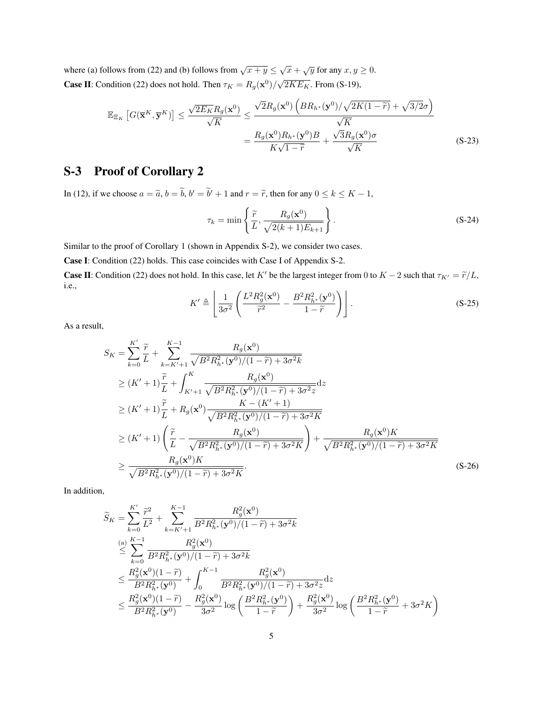where (a) follows from [\(22\)](#page-0-3) and (b) follows from  $\sqrt{x+y} \leq \sqrt{x} + \sqrt{y}$  for any  $x, y \geq 0$ . **Case II:** Condition [\(22\)](#page-0-3) does not hold. Then  $\tau_K = R_g(\mathbf{x}^0)/\sqrt{2KE_K}$ . From [\(S-19\)](#page-3-1),

$$
\mathbb{E}_{\Xi_{K}}\left[G(\overline{\mathbf{x}}^{K},\overline{\mathbf{y}}^{K})\right] \leq \frac{\sqrt{2E_{K}}R_{g}(\mathbf{x}^{0})}{\sqrt{K}} \leq \frac{\sqrt{2}R_{g}(\mathbf{x}^{0})\left(BR_{h^{*}}(\mathbf{y}^{0})/\sqrt{2K(1-\widetilde{r})} + \sqrt{3/2}\sigma\right)}{\sqrt{K}}
$$

$$
= \frac{R_{g}(\mathbf{x}^{0})R_{h^{*}}(\mathbf{y}^{0})B}{K\sqrt{1-\widetilde{r}}} + \frac{\sqrt{3}R_{g}(\mathbf{x}^{0})\sigma}{\sqrt{K}}
$$
(S-23)

## S-3 Proof of Corollary [2](#page-0-3)

In [\(12\)](#page-0-3), if we choose  $a = \tilde{a}$ ,  $b = \tilde{b}$ ,  $b' = \tilde{b}' + 1$  and  $r = \tilde{r}$ , then for any  $0 \le k \le K - 1$ ,

$$
\tau_k = \min\left\{\frac{\widetilde{r}}{L}, \frac{R_g(\mathbf{x}^0)}{\sqrt{2(k+1)E_{k+1}}}\right\}.
$$
\n(S-24)

Similar to the proof of Corollary [1](#page-0-3) (shown in Appendix [S-2\)](#page-3-2), we consider two cases.

Case I: Condition [\(22\)](#page-0-3) holds. This case coincides with Case I of Appendix [S-2.](#page-3-2)

**Case II:** Condition [\(22\)](#page-0-3) does not hold. In this case, let K' be the largest integer from 0 to  $K - 2$  such that  $\tau_{K'} = \tilde{r}/L$ , i.e.,

<span id="page-4-1"></span><span id="page-4-0"></span>
$$
K' \triangleq \left\lfloor \frac{1}{3\sigma^2} \left( \frac{L^2 R_g^2(\mathbf{x}^0)}{\tilde{r}^2} - \frac{B^2 R_{h^*}^2(\mathbf{y}^0)}{1 - \tilde{r}} \right) \right\rfloor.
$$
 (S-25)

As a result,

$$
S_{K} = \sum_{k=0}^{K'} \frac{\tilde{r}}{L} + \sum_{k=K'+1}^{K-1} \frac{R_{g}(\mathbf{x}^{0})}{\sqrt{B^{2}R_{h^{*}}^{2}(\mathbf{y}^{0})/(1-\tilde{r})+3\sigma^{2}k}}
$$
  
\n
$$
\geq (K'+1)\frac{\tilde{r}}{L} + \int_{K'+1}^{K} \frac{R_{g}(\mathbf{x}^{0})}{\sqrt{B^{2}R_{h^{*}}^{2}(\mathbf{y}^{0})/(1-\tilde{r})+3\sigma^{2}z}} d\mathbf{z}
$$
  
\n
$$
\geq (K'+1)\frac{\tilde{r}}{L} + R_{g}(\mathbf{x}^{0}) \frac{K-(K'+1)}{\sqrt{B^{2}R_{h^{*}}^{2}(\mathbf{y}^{0})/(1-\tilde{r})+3\sigma^{2}K}}
$$
  
\n
$$
\geq (K'+1)\left(\frac{\tilde{r}}{L} - \frac{R_{g}(\mathbf{x}^{0})}{\sqrt{B^{2}R_{h^{*}}^{2}(\mathbf{y}^{0})/(1-\tilde{r})+3\sigma^{2}K}}\right) + \frac{R_{g}(\mathbf{x}^{0})K}{\sqrt{B^{2}R_{h^{*}}^{2}(\mathbf{y}^{0})/(1-\tilde{r})+3\sigma^{2}K}}
$$
  
\n
$$
\geq \frac{R_{g}(\mathbf{x}^{0})K}{\sqrt{B^{2}R_{h^{*}}^{2}(\mathbf{y}^{0})/(1-\tilde{r})+3\sigma^{2}K}}.
$$
 (S-26)

In addition,

$$
\begin{split} & \widetilde{S}_{K} = \sum_{k=0}^{K'} \frac{\widetilde{r}^{2}}{L^{2}} + \sum_{k=K'+1}^{K-1} \frac{R_{g}^{2}(\mathbf{x}^{0})}{B^{2}R_{h^{*}}^{2}(\mathbf{y}^{0})/(1-\widetilde{r})+3\sigma^{2}k} \\ & \stackrel{\text{(a)}}{\leq} \sum_{k=0}^{K-1} \frac{R_{g}^{2}(\mathbf{x}^{0})}{B^{2}R_{h^{*}}^{2}(\mathbf{y}^{0})/(1-\widetilde{r})+3\sigma^{2}k} \\ & \leq \frac{R_{g}^{2}(\mathbf{x}^{0})(1-\widetilde{r})}{B^{2}R_{h^{*}}^{2}(\mathbf{y}^{0})} + \int_{0}^{K-1} \frac{R_{g}^{2}(\mathbf{x}^{0})}{B^{2}R_{h^{*}}^{2}(\mathbf{y}^{0})/(1-\widetilde{r})+3\sigma^{2}z}dz \\ & \leq \frac{R_{g}^{2}(\mathbf{x}^{0})(1-\widetilde{r})}{B^{2}R_{h^{*}}^{2}(\mathbf{y}^{0})} - \frac{R_{g}^{2}(\mathbf{x}^{0})}{3\sigma^{2}}\log\left(\frac{B^{2}R_{h^{*}}^{2}(\mathbf{y}^{0})}{1-\widetilde{r}}\right) + \frac{R_{g}^{2}(\mathbf{x}^{0})}{3\sigma^{2}}\log\left(\frac{B^{2}R_{h^{*}}^{2}(\mathbf{y}^{0})}{1-\widetilde{r}}+3\sigma^{2}K\right) \end{split}
$$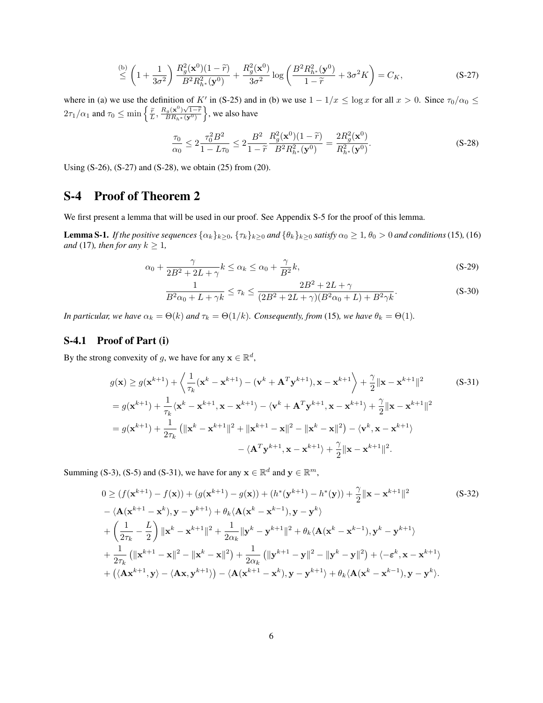$$
\stackrel{\text{(b)}}{\leq} \left(1 + \frac{1}{3\sigma^2}\right) \frac{R_g^2(\mathbf{x}^0)(1-\tilde{r})}{B^2 R_{h^*}^2(\mathbf{y}^0)} + \frac{R_g^2(\mathbf{x}^0)}{3\sigma^2} \log\left(\frac{B^2 R_{h^*}^2(\mathbf{y}^0)}{1-\tilde{r}} + 3\sigma^2 K\right) = C_K,\tag{S-27}
$$

where in (a) we use the definition of K' in [\(S-25\)](#page-4-0) and in (b) we use  $1 - 1/x \le \log x$  for all  $x > 0$ . Since  $\tau_0/\alpha_0 \le$  $2\tau_1/\alpha_1$  and  $\tau_0 \le \min\left\{\frac{\tilde{r}}{L}, \frac{R_g(\mathbf{x}^0)\sqrt{1-\tilde{r}}}{BR_h*(\mathbf{y}^0)}\right\}$ , we also have

<span id="page-5-1"></span><span id="page-5-0"></span>
$$
\frac{\tau_0}{\alpha_0} \le 2 \frac{\tau_0^2 B^2}{1 - L\tau_0} \le 2 \frac{B^2}{1 - \tilde{r}} \frac{R_g^2(\mathbf{x}^0)(1 - \tilde{r})}{B^2 R_{h^*}^2(\mathbf{y}^0)} = \frac{2R_g^2(\mathbf{x}^0)}{R_{h^*}^2(\mathbf{y}^0)}.
$$
\n(S-28)

Using [\(S-26\)](#page-4-1), [\(S-27\)](#page-5-0) and [\(S-28\)](#page-5-1), we obtain [\(25\)](#page-4-0) from [\(20\)](#page-0-3).

#### S-4 Proof of Theorem [2](#page-0-3)

We first present a lemma that will be used in our proof. See Appendix [S-5](#page-8-1) for the proof of this lemma.

<span id="page-5-4"></span>**Lemma S-1.** *If the positive sequences*  $\{\alpha_k\}_{k\geq 0}$ ,  $\{\tau_k\}_{k\geq 0}$  *and*  $\{\theta_k\}_{k\geq 0}$  *satisfy*  $\alpha_0 \geq 1$ ,  $\theta_0 > 0$  *and conditions* [\(15\)](#page-0-3), [\(16\)](#page-0-3) *and* [\(17\)](#page-0-3)*, then for any*  $k \geq 1$ *,* 

$$
\alpha_0 + \frac{\gamma}{2B^2 + 2L + \gamma} k \le \alpha_k \le \alpha_0 + \frac{\gamma}{B^2} k,\tag{S-29}
$$

<span id="page-5-6"></span><span id="page-5-5"></span><span id="page-5-2"></span>
$$
\frac{1}{B^2\alpha_0 + L + \gamma k} \le \tau_k \le \frac{2B^2 + 2L + \gamma}{(2B^2 + 2L + \gamma)(B^2\alpha_0 + L) + B^2\gamma k}.
$$
\n(S-30)

*In particular, we have*  $\alpha_k = \Theta(k)$  *and*  $\tau_k = \Theta(1/k)$ *. Consequently, from* [\(15\)](#page-0-3)*, we have*  $\theta_k = \Theta(1)$ *.* 

#### S-4.1 Proof of Part (i)

By the strong convexity of g, we have for any  $\mathbf{x} \in \mathbb{R}^d$ ,

$$
g(\mathbf{x}) \ge g(\mathbf{x}^{k+1}) + \left\langle \frac{1}{\tau_k} (\mathbf{x}^k - \mathbf{x}^{k+1}) - (\mathbf{v}^k + \mathbf{A}^T \mathbf{y}^{k+1}), \mathbf{x} - \mathbf{x}^{k+1} \right\rangle + \frac{\gamma}{2} ||\mathbf{x} - \mathbf{x}^{k+1}||^2
$$
(S-31)  
\n
$$
= g(\mathbf{x}^{k+1}) + \frac{1}{\tau_k} \langle \mathbf{x}^k - \mathbf{x}^{k+1}, \mathbf{x} - \mathbf{x}^{k+1} \rangle - \langle \mathbf{v}^k + \mathbf{A}^T \mathbf{y}^{k+1}, \mathbf{x} - \mathbf{x}^{k+1} \rangle + \frac{\gamma}{2} ||\mathbf{x} - \mathbf{x}^{k+1}||^2
$$
  
\n
$$
= g(\mathbf{x}^{k+1}) + \frac{1}{2\tau_k} (||\mathbf{x}^k - \mathbf{x}^{k+1}||^2 + ||\mathbf{x}^{k+1} - \mathbf{x}||^2 - ||\mathbf{x}^k - \mathbf{x}||^2) - \langle \mathbf{v}^k, \mathbf{x} - \mathbf{x}^{k+1} \rangle
$$
  
\n
$$
- \langle \mathbf{A}^T \mathbf{y}^{k+1}, \mathbf{x} - \mathbf{x}^{k+1} \rangle + \frac{\gamma}{2} ||\mathbf{x} - \mathbf{x}^{k+1}||^2.
$$

Summing [\(S-3\)](#page-0-0), [\(S-5\)](#page-0-2) and [\(S-31\)](#page-5-2), we have for any  $\mathbf{x} \in \mathbb{R}^d$  and  $\mathbf{y} \in \mathbb{R}^m$ ,

<span id="page-5-3"></span>
$$
0 \ge (f(\mathbf{x}^{k+1}) - f(\mathbf{x})) + (g(\mathbf{x}^{k+1}) - g(\mathbf{x})) + (h^*(\mathbf{y}^{k+1}) - h^*(\mathbf{y})) + \frac{\gamma}{2} \|\mathbf{x} - \mathbf{x}^{k+1}\|^2
$$
(S-32)  
 
$$
- \langle \mathbf{A}(\mathbf{x}^{k+1} - \mathbf{x}^k), \mathbf{y} - \mathbf{y}^{k+1} \rangle + \theta_k \langle \mathbf{A}(\mathbf{x}^k - \mathbf{x}^{k-1}), \mathbf{y} - \mathbf{y}^k \rangle
$$
  
+ 
$$
\left(\frac{1}{2\tau_k} - \frac{L}{2}\right) \|\mathbf{x}^k - \mathbf{x}^{k+1}\|^2 + \frac{1}{2\alpha_k} \|\mathbf{y}^k - \mathbf{y}^{k+1}\|^2 + \theta_k \langle \mathbf{A}(\mathbf{x}^k - \mathbf{x}^{k-1}), \mathbf{y}^k - \mathbf{y}^{k+1} \rangle
$$
  
+ 
$$
\frac{1}{2\tau_k} (\|\mathbf{x}^{k+1} - \mathbf{x}\|^2 - \|\mathbf{x}^k - \mathbf{x}\|^2) + \frac{1}{2\alpha_k} (\|\mathbf{y}^{k+1} - \mathbf{y}\|^2 - \|\mathbf{y}^k - \mathbf{y}\|^2) + \langle -\epsilon^k, \mathbf{x} - \mathbf{x}^{k+1} \rangle
$$
  
+ 
$$
(\langle \mathbf{A}\mathbf{x}^{k+1}, \mathbf{y} \rangle - \langle \mathbf{A}\mathbf{x}, \mathbf{y}^{k+1} \rangle) - \langle \mathbf{A}(\mathbf{x}^{k+1} - \mathbf{x}^k), \mathbf{y} - \mathbf{y}^{k+1} \rangle + \theta_k \langle \mathbf{A}(\mathbf{x}^k - \mathbf{x}^{k-1}), \mathbf{y} - \mathbf{y}^k \rangle.
$$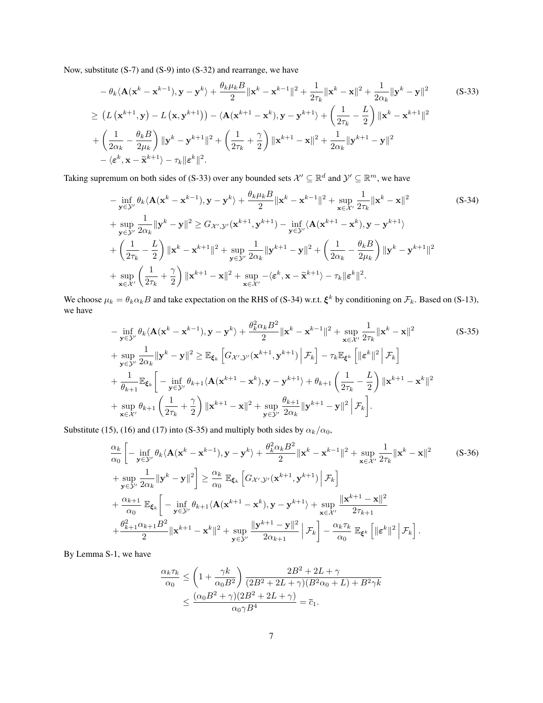Now, substitute [\(S-7\)](#page-1-1) and [\(S-9\)](#page-1-2) into [\(S-32\)](#page-5-3) and rearrange, we have

$$
-\theta_k \langle \mathbf{A}(\mathbf{x}^k - \mathbf{x}^{k-1}), \mathbf{y} - \mathbf{y}^k \rangle + \frac{\theta_k \mu_k B}{2} ||\mathbf{x}^k - \mathbf{x}^{k-1}||^2 + \frac{1}{2\tau_k} ||\mathbf{x}^k - \mathbf{x}||^2 + \frac{1}{2\alpha_k} ||\mathbf{y}^k - \mathbf{y}||^2
$$
(S-33)  
\n
$$
\geq (L (\mathbf{x}^{k+1}, \mathbf{y}) - L (\mathbf{x}, \mathbf{y}^{k+1})) - \langle \mathbf{A}(\mathbf{x}^{k+1} - \mathbf{x}^k), \mathbf{y} - \mathbf{y}^{k+1} \rangle + \left(\frac{1}{2\tau_k} - \frac{L}{2}\right) ||\mathbf{x}^k - \mathbf{x}^{k+1}||^2
$$
  
\n
$$
+ \left(\frac{1}{2\alpha_k} - \frac{\theta_k B}{2\mu_k}\right) ||\mathbf{y}^k - \mathbf{y}^{k+1}||^2 + \left(\frac{1}{2\tau_k} + \frac{\gamma}{2}\right) ||\mathbf{x}^{k+1} - \mathbf{x}||^2 + \frac{1}{2\alpha_k} ||\mathbf{y}^{k+1} - \mathbf{y}||^2
$$
  
\n
$$
- \langle \mathbf{e}^k, \mathbf{x} - \widetilde{\mathbf{x}}^{k+1} \rangle - \tau_k ||\mathbf{e}^k||^2.
$$

Taking supremum on both sides of [\(S-33\)](#page-6-0) over any bounded sets  $\mathcal{X}' \subseteq \mathbb{R}^d$  and  $\mathcal{Y}' \subseteq \mathbb{R}^m$ , we have

<span id="page-6-1"></span><span id="page-6-0"></span>
$$
-\inf_{\mathbf{y}\in\mathcal{Y}'}\theta_k\langle \mathbf{A}(\mathbf{x}^k - \mathbf{x}^{k-1}), \mathbf{y} - \mathbf{y}^k \rangle + \frac{\theta_k\mu_k B}{2} \|\mathbf{x}^k - \mathbf{x}^{k-1}\|^2 + \sup_{\mathbf{x}\in\mathcal{X}'} \frac{1}{2\tau_k} \|\mathbf{x}^k - \mathbf{x}\|^2
$$
(S-34)  
+ 
$$
\sup_{\mathbf{y}\in\mathcal{Y}'} \frac{1}{2\alpha_k} \|\mathbf{y}^k - \mathbf{y}\|^2 \ge G_{\mathcal{X}',\mathcal{Y}'}(\mathbf{x}^{k+1}, \mathbf{y}^{k+1}) - \inf_{\mathbf{y}\in\mathcal{Y}'} \langle \mathbf{A}(\mathbf{x}^{k+1} - \mathbf{x}^k), \mathbf{y} - \mathbf{y}^{k+1} \rangle
$$
  
+ 
$$
\left(\frac{1}{2\tau_k} - \frac{L}{2}\right) \|\mathbf{x}^k - \mathbf{x}^{k+1}\|^2 + \sup_{\mathbf{y}\in\mathcal{Y}'} \frac{1}{2\alpha_k} \|\mathbf{y}^{k+1} - \mathbf{y}\|^2 + \left(\frac{1}{2\alpha_k} - \frac{\theta_k B}{2\mu_k}\right) \|\mathbf{y}^k - \mathbf{y}^{k+1}\|^2
$$
  
+ 
$$
\sup_{\mathbf{x}\in\mathcal{X}'} \left(\frac{1}{2\tau_k} + \frac{\gamma}{2}\right) \|\mathbf{x}^{k+1} - \mathbf{x}\|^2 + \sup_{\mathbf{x}\in\mathcal{X}'} -\langle \boldsymbol{\varepsilon}^k, \mathbf{x} - \widetilde{\mathbf{x}}^{k+1}\rangle - \tau_k \|\boldsymbol{\varepsilon}^k\|^2.
$$

We choose  $\mu_k = \theta_k \alpha_k B$  and take expectation on the RHS of [\(S-34\)](#page-6-1) w.r.t.  $\xi^k$  by conditioning on  $\mathcal{F}_k$ . Based on [\(S-13\)](#page-2-3), we have

<span id="page-6-2"></span>
$$
-\inf_{\mathbf{y}\in\mathcal{Y}'}\theta_k\langle \mathbf{A}(\mathbf{x}^k - \mathbf{x}^{k-1}), \mathbf{y} - \mathbf{y}^k \rangle + \frac{\theta_k^2 \alpha_k B^2}{2} \|\mathbf{x}^k - \mathbf{x}^{k-1}\|^2 + \sup_{\mathbf{x}\in\mathcal{X}'} \frac{1}{2\tau_k} \|\mathbf{x}^k - \mathbf{x}\|^2
$$
(S-35)  
+ 
$$
\sup_{\mathbf{y}\in\mathcal{Y}'} \frac{1}{2\alpha_k} \|\mathbf{y}^k - \mathbf{y}\|^2 \ge \mathbb{E}_{\xi_k} \left[ G_{\mathcal{X}',\mathcal{Y}'}(\mathbf{x}^{k+1}, \mathbf{y}^{k+1}) \Big| \mathcal{F}_k \right] - \tau_k \mathbb{E}_{\xi^k} \left[ \|\boldsymbol{\varepsilon}^k\|^2 \Big| \mathcal{F}_k \right]
$$
  
+ 
$$
\frac{1}{\theta_{k+1}} \mathbb{E}_{\xi_k} \left[ -\inf_{\mathbf{y}\in\mathcal{Y}'} \theta_{k+1} \langle \mathbf{A}(\mathbf{x}^{k+1} - \mathbf{x}^k), \mathbf{y} - \mathbf{y}^{k+1} \rangle + \theta_{k+1} \left( \frac{1}{2\tau_k} - \frac{L}{2} \right) \|\mathbf{x}^{k+1} - \mathbf{x}^k\|^2
$$
  
+ 
$$
\sup_{\mathbf{x}\in\mathcal{X}'} \theta_{k+1} \left( \frac{1}{2\tau_k} + \frac{\gamma}{2} \right) \|\mathbf{x}^{k+1} - \mathbf{x}\|^2 + \sup_{\mathbf{y}\in\mathcal{Y}'} \frac{\theta_{k+1}}{2\alpha_k} \|\mathbf{y}^{k+1} - \mathbf{y}\|^2 \Big| \mathcal{F}_k \right].
$$

Substitute [\(15\)](#page-0-3), [\(16\)](#page-0-3) and [\(17\)](#page-0-3) into [\(S-35\)](#page-6-2) and multiply both sides by  $\alpha_k/\alpha_0$ ,

$$
\frac{\alpha_{k}}{\alpha_{0}} \left[ -\inf_{\mathbf{y} \in \mathcal{Y}'} \theta_{k} \langle \mathbf{A}(\mathbf{x}^{k} - \mathbf{x}^{k-1}), \mathbf{y} - \mathbf{y}^{k} \rangle + \frac{\theta_{k}^{2} \alpha_{k} B^{2}}{2} \|\mathbf{x}^{k} - \mathbf{x}^{k-1}\|^{2} + \sup_{\mathbf{x} \in \mathcal{X}'} \frac{1}{2\tau_{k}} \|\mathbf{x}^{k} - \mathbf{x}\|^{2} \right]
$$
(S-36)  
+ 
$$
\sup_{\mathbf{y} \in \mathcal{Y}'} \frac{1}{2\alpha_{k}} \|\mathbf{y}^{k} - \mathbf{y}\|^{2} \right] \geq \frac{\alpha_{k}}{\alpha_{0}} \mathbb{E}_{\xi_{k}} \left[ G_{\mathcal{X}',\mathcal{Y}'}(\mathbf{x}^{k+1}, \mathbf{y}^{k+1}) \Big| \mathcal{F}_{k} \right]
$$
  
+ 
$$
\frac{\alpha_{k+1}}{\alpha_{0}} \mathbb{E}_{\xi_{k}} \left[ -\inf_{\mathbf{y} \in \mathcal{Y}'} \theta_{k+1} \langle \mathbf{A}(\mathbf{x}^{k+1} - \mathbf{x}^{k}), \mathbf{y} - \mathbf{y}^{k+1} \rangle + \sup_{\mathbf{x} \in \mathcal{X}'} \frac{\|\mathbf{x}^{k+1} - \mathbf{x}\|^{2}}{2\tau_{k+1}} \right]
$$
  
+ 
$$
\frac{\theta_{k+1}^{2} \alpha_{k+1} B^{2}}{2} \|\mathbf{x}^{k+1} - \mathbf{x}^{k}\|^{2} + \sup_{\mathbf{y} \in \mathcal{Y}'} \frac{\|\mathbf{y}^{k+1} - \mathbf{y}\|^{2}}{2\alpha_{k+1}} \left[ \mathcal{F}_{k} \right] - \frac{\alpha_{k} \tau_{k}}{\alpha_{0}} \mathbb{E}_{\xi_{k}} \left[ \|\boldsymbol{\varepsilon}^{k}\|^{2} \Big| \mathcal{F}_{k} \right].
$$

By Lemma [S-1,](#page-5-4) we have

<span id="page-6-3"></span>
$$
\frac{\alpha_k \tau_k}{\alpha_0} \le \left(1 + \frac{\gamma k}{\alpha_0 B^2}\right) \frac{2B^2 + 2L + \gamma}{(2B^2 + 2L + \gamma)(B^2 \alpha_0 + L) + B^2 \gamma k}
$$
  

$$
\le \frac{(\alpha_0 B^2 + \gamma)(2B^2 + 2L + \gamma)}{\alpha_0 \gamma B^4} = \overline{c}_1.
$$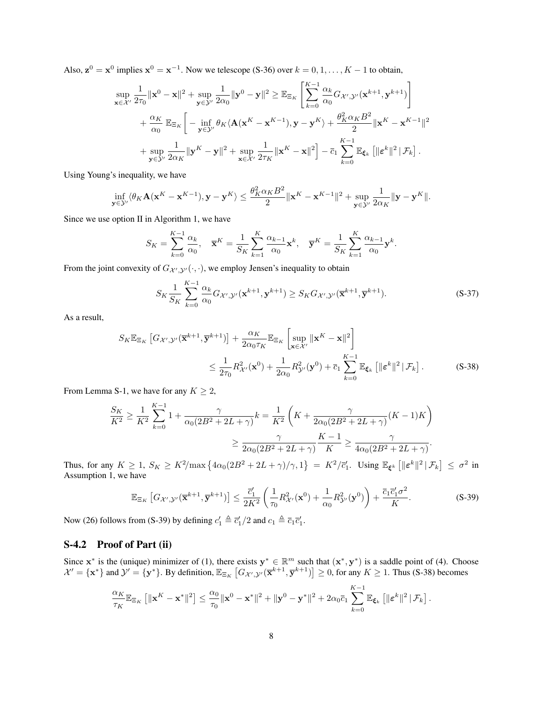Also,  $z^0 = x^0$  implies  $x^0 = x^{-1}$ . Now we telescope [\(S-36\)](#page-6-3) over  $k = 0, 1, ..., K - 1$  to obtain,

$$
\sup_{\mathbf{x}\in\mathcal{X}'}\frac{1}{2\tau_0}\|\mathbf{x}^0-\mathbf{x}\|^2+\sup_{\mathbf{y}\in\mathcal{Y}'}\frac{1}{2\alpha_0}\|\mathbf{y}^0-\mathbf{y}\|^2\geq \mathbb{E}_{\Xi_K}\left[\sum_{k=0}^{K-1}\frac{\alpha_k}{\alpha_0}G_{\mathcal{X}',\mathcal{Y}'}(\mathbf{x}^{k+1},\mathbf{y}^{k+1})\right] +\frac{\alpha_K}{\alpha_0}\mathbb{E}_{\Xi_K}\left[-\inf_{\mathbf{y}\in\mathcal{Y}'}\theta_K\langle\mathbf{A}(\mathbf{x}^K-\mathbf{x}^{K-1}),\mathbf{y}-\mathbf{y}^K\rangle+\frac{\theta_K^2\alpha_KB^2}{2}\|\mathbf{x}^K-\mathbf{x}^{K-1}\|^2+\sup_{\mathbf{y}\in\mathcal{Y}'}\frac{1}{2\alpha_K}\|\mathbf{y}^K-\mathbf{y}\|^2+\sup_{\mathbf{x}\in\mathcal{X}'}\frac{1}{2\tau_K}\|\mathbf{x}^K-\mathbf{x}\|^2\right]-\bar{c}_1\sum_{k=0}^{K-1}\mathbb{E}_{\xi_k}\left[\|\boldsymbol{\varepsilon}^k\|^2|\mathcal{F}_k\right].
$$

Using Young's inequality, we have

$$
\inf_{\mathbf{y}\in\mathcal{Y}'}\langle\theta_K\mathbf{A}(\mathbf{x}^K-\mathbf{x}^{K-1}),\mathbf{y}-\mathbf{y}^K\rangle\leq\frac{\theta_K^2\alpha_KB^2}{2}\|\mathbf{x}^K-\mathbf{x}^{K-1}\|^2+\sup_{\mathbf{y}\in\mathcal{Y}'}\frac{1}{2\alpha_K}\|\mathbf{y}-\mathbf{y}^K\|.
$$

Since we use option II in Algorithm [1,](#page-0-3) we have

$$
S_K = \sum_{k=0}^{K-1} \frac{\alpha_k}{\alpha_0}, \quad \overline{\mathbf{x}}^K = \frac{1}{S_K} \sum_{k=1}^K \frac{\alpha_{k-1}}{\alpha_0} \mathbf{x}^k, \quad \overline{\mathbf{y}}^K = \frac{1}{S_K} \sum_{k=1}^K \frac{\alpha_{k-1}}{\alpha_0} \mathbf{y}^k.
$$

From the joint convexity of  $G_{\mathcal{X}',\mathcal{Y}'}(\cdot,\cdot)$ , we employ Jensen's inequality to obtain

<span id="page-7-1"></span>
$$
S_K \frac{1}{S_K} \sum_{k=0}^{K-1} \frac{\alpha_k}{\alpha_0} G_{\mathcal{X}', \mathcal{Y}'}(\mathbf{x}^{k+1}, \mathbf{y}^{k+1}) \ge S_K G_{\mathcal{X}', \mathcal{Y}'}(\overline{\mathbf{x}}^{k+1}, \overline{\mathbf{y}}^{k+1}).
$$
 (S-37)

As a result,

$$
S_K \mathbb{E}_{\Xi_K} \left[ G_{\mathcal{X}', \mathcal{Y}'}(\overline{\mathbf{x}}^{k+1}, \overline{\mathbf{y}}^{k+1}) \right] + \frac{\alpha_K}{2\alpha_0 \tau_K} \mathbb{E}_{\Xi_K} \left[ \sup_{\mathbf{x} \in \mathcal{X}'} ||\mathbf{x}^K - \mathbf{x}||^2 \right]
$$
  

$$
\leq \frac{1}{2\tau_0} R_{\mathcal{X}'}^2(\mathbf{x}^0) + \frac{1}{2\alpha_0} R_{\mathcal{Y}'}^2(\mathbf{y}^0) + \overline{c}_1 \sum_{k=0}^{K-1} \mathbb{E}_{\xi_k} \left[ ||\boldsymbol{\varepsilon}^k||^2 | \mathcal{F}_k \right].
$$
 (S-38)

From Lemma [S-1,](#page-5-4) we have for any  $K \geq 2$ ,

$$
\frac{S_K}{K^2} \ge \frac{1}{K^2} \sum_{k=0}^{K-1} 1 + \frac{\gamma}{\alpha_0 (2B^2 + 2L + \gamma)} k = \frac{1}{K^2} \left( K + \frac{\gamma}{2\alpha_0 (2B^2 + 2L + \gamma)} (K - 1) K \right)
$$

$$
\ge \frac{\gamma}{2\alpha_0 (2B^2 + 2L + \gamma)} \frac{K - 1}{K} \ge \frac{\gamma}{4\alpha_0 (2B^2 + 2L + \gamma)}.
$$

Thus, for any  $K \ge 1$ ,  $S_K \ge K^2/\max\left\{4\alpha_0(2B^2 + 2L + \gamma)/\gamma, 1\right\} = K^2/\overline{c}_1'$ . Using  $\mathbb{E}_{\xi^k} \left[\|\boldsymbol{\varepsilon}^k\|^2 | \mathcal{F}_k\right] \le \sigma^2$  in Assumption [1,](#page-0-3) we have

<span id="page-7-0"></span>
$$
\mathbb{E}_{\Xi_K} \left[ G_{\mathcal{X}', \mathcal{Y}'}(\overline{\mathbf{x}}^{k+1}, \overline{\mathbf{y}}^{k+1}) \right] \le \frac{\overline{c}'_1}{2K^2} \left( \frac{1}{\tau_0} R_{\mathcal{X}'}^2(\mathbf{x}^0) + \frac{1}{\alpha_0} R_{\mathcal{Y}'}^2(\mathbf{y}^0) \right) + \frac{\overline{c}_1 \overline{c}'_1 \sigma^2}{K}.
$$
 (S-39)

Now [\(26\)](#page-4-1) follows from [\(S-39\)](#page-7-0) by defining  $c'_1 \triangleq \overline{c'_1}/2$  and  $c_1 \triangleq \overline{c_1}\overline{c'_1}$ .

#### S-4.2 Proof of Part (ii)

Since  $x^*$  is the (unique) minimizer of [\(1\)](#page-0-4), there exists  $y^* \in \mathbb{R}^m$  such that  $(x^*, y^*)$  is a saddle point of [\(4\)](#page-0-1). Choose  $\mathcal{X}' = {\mathbf{x}^*}$  and  $\mathcal{Y}' = {\mathbf{y}^*}$ . By definition,  $\mathbb{E}_{\mathbb{E}_K} [G_{\mathcal{X}',\mathcal{Y}'}(\overline{\mathbf{x}}^{k+1}, \overline{\mathbf{y}}^{k+1})] \geq 0$ , for any  $K \geq 1$ . Thus [\(S-38\)](#page-7-1) becomes

$$
\frac{\alpha_K}{\tau_K}\mathbb{E}_{\Xi_K}\left[\|\mathbf{x}^K-\mathbf{x}^*\|^2\right] \leq \frac{\alpha_0}{\tau_0}\|\mathbf{x}^0-\mathbf{x}^*\|^2+\|\mathbf{y}^0-\mathbf{y}^*\|^2+2\alpha_0\overline{c}_1\sum_{k=0}^{K-1}\mathbb{E}_{\boldsymbol{\xi}_k}\left[\|\boldsymbol{\varepsilon}^k\|^2|\mathcal{F}_k\right].
$$